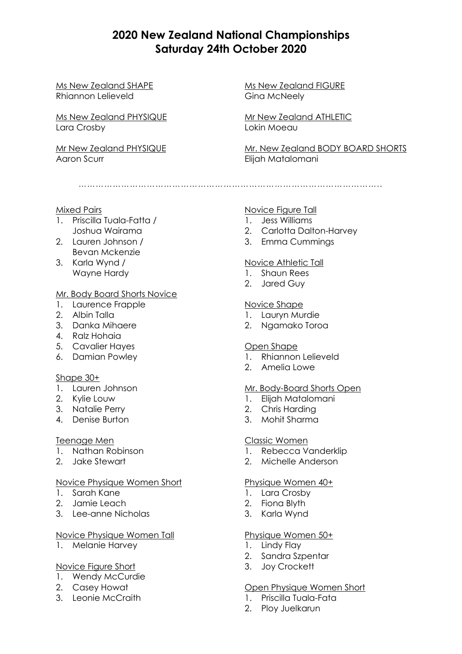# **2020 New Zealand National Championships Saturday 24th October 2020**

Ms New Zealand SHAPE Rhiannon Lelieveld

Ms New Zealand PHYSIQUE Lara Crosby

Mr New Zealand PHYSIQUE Aaron Scurr

Ms New Zealand FIGURE Gina McNeely

Mr New Zealand ATHLETIC Lokin Moeau

Mr. New Zealand BODY BOARD SHORTS Elijah Matalomani

……………………………………………………………………………………………..

## Mixed Pairs

- 1. Priscilla Tuala-Fatta / Joshua Wairama
- 2. Lauren Johnson / Bevan Mckenzie
- 3. Karla Wynd / Wayne Hardy

# Mr. Body Board Shorts Novice

- 1. Laurence Frapple
- 2. Albin Talla
- 3. Danka Mihaere
- 4. Ralz Hohaia
- 5. Cavalier Hayes
- 6. Damian Powley

# Shape 30+

- 1. Lauren Johnson
- 2. Kylie Louw
- 3. Natalie Perry
- 4. Denise Burton

#### Teenage Men

- 1. Nathan Robinson
- 2. Jake Stewart

#### Novice Physique Women Short

- 1. Sarah Kane
- 2. Jamie Leach
- 3. Lee-anne Nicholas

#### Novice Physique Women Tall

1. Melanie Harvey

#### Novice Figure Short

- 1. Wendy McCurdie
- 2. Casey Howat
- 3. Leonie McCraith

# Novice Figure Tall

- 1. Jess Williams
- 2. Carlotta Dalton-Harvey
- 3. Emma Cummings

## Novice Athletic Tall

- 1. Shaun Rees
- 2. Jared Guy

## Novice Shape

- 1. Lauryn Murdie
- 2. Ngamako Toroa

#### Open Shape

- 1. Rhiannon Lelieveld
- 2. Amelia Lowe

#### Mr. Body-Board Shorts Open

- 1. Elijah Matalomani
- 2. Chris Harding
- 3. Mohit Sharma

#### Classic Women

- 1. Rebecca Vanderklip
- 2. Michelle Anderson

## Physique Women 40+

- 1. Lara Crosby
- 2. Fiona Blyth
- 3. Karla Wynd

# Physique Women 50+

- 1. Lindy Flay
- 2. Sandra Szpentar
- 3. Joy Crockett

#### Open Physique Women Short

- 1. Priscilla Tuala-Fata
- 2. Ploy Juelkarun